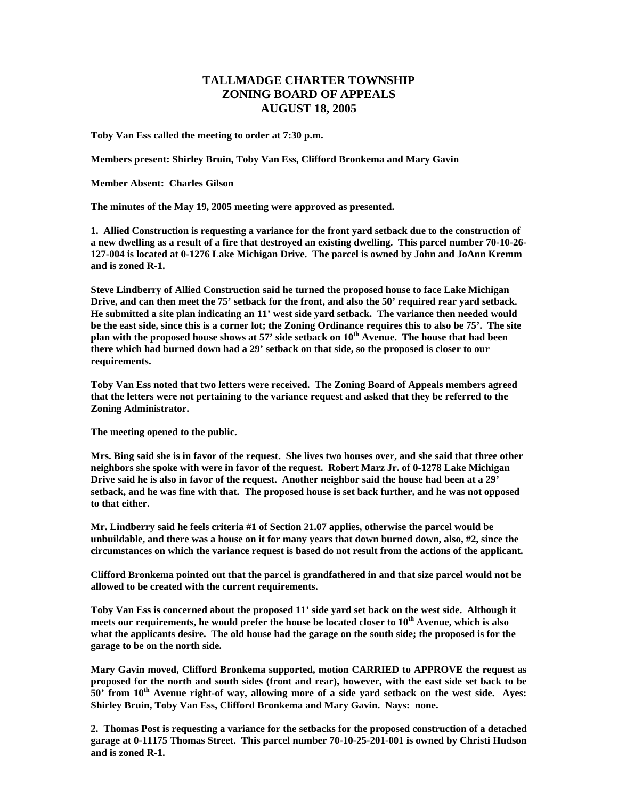## **TALLMADGE CHARTER TOWNSHIP ZONING BOARD OF APPEALS AUGUST 18, 2005**

**Toby Van Ess called the meeting to order at 7:30 p.m.** 

**Members present: Shirley Bruin, Toby Van Ess, Clifford Bronkema and Mary Gavin** 

**Member Absent: Charles Gilson** 

**The minutes of the May 19, 2005 meeting were approved as presented.** 

**1. Allied Construction is requesting a variance for the front yard setback due to the construction of a new dwelling as a result of a fire that destroyed an existing dwelling. This parcel number 70-10-26- 127-004 is located at 0-1276 Lake Michigan Drive. The parcel is owned by John and JoAnn Kremm and is zoned R-1.** 

**Steve Lindberry of Allied Construction said he turned the proposed house to face Lake Michigan Drive, and can then meet the 75' setback for the front, and also the 50' required rear yard setback. He submitted a site plan indicating an 11' west side yard setback. The variance then needed would be the east side, since this is a corner lot; the Zoning Ordinance requires this to also be 75'. The site plan with the proposed house shows at 57' side setback on 10th Avenue. The house that had been there which had burned down had a 29' setback on that side, so the proposed is closer to our requirements.** 

**Toby Van Ess noted that two letters were received. The Zoning Board of Appeals members agreed that the letters were not pertaining to the variance request and asked that they be referred to the Zoning Administrator.** 

**The meeting opened to the public.** 

**Mrs. Bing said she is in favor of the request. She lives two houses over, and she said that three other neighbors she spoke with were in favor of the request. Robert Marz Jr. of 0-1278 Lake Michigan Drive said he is also in favor of the request. Another neighbor said the house had been at a 29' setback, and he was fine with that. The proposed house is set back further, and he was not opposed to that either.** 

**Mr. Lindberry said he feels criteria #1 of Section 21.07 applies, otherwise the parcel would be unbuildable, and there was a house on it for many years that down burned down, also, #2, since the circumstances on which the variance request is based do not result from the actions of the applicant.** 

**Clifford Bronkema pointed out that the parcel is grandfathered in and that size parcel would not be allowed to be created with the current requirements.** 

**Toby Van Ess is concerned about the proposed 11' side yard set back on the west side. Although it**  meets our requirements, he would prefer the house be located closer to 10<sup>th</sup> Avenue, which is also **what the applicants desire. The old house had the garage on the south side; the proposed is for the garage to be on the north side.** 

**Mary Gavin moved, Clifford Bronkema supported, motion CARRIED to APPROVE the request as proposed for the north and south sides (front and rear), however, with the east side set back to be 50' from 10th Avenue right-of way, allowing more of a side yard setback on the west side. Ayes: Shirley Bruin, Toby Van Ess, Clifford Bronkema and Mary Gavin. Nays: none.** 

**2. Thomas Post is requesting a variance for the setbacks for the proposed construction of a detached garage at 0-11175 Thomas Street. This parcel number 70-10-25-201-001 is owned by Christi Hudson and is zoned R-1.**